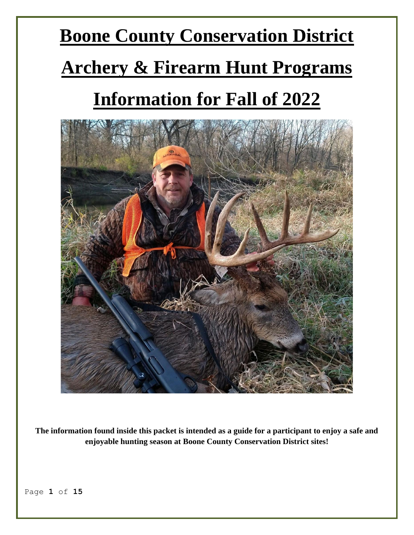# **Boone County Conservation District Archery & Firearm Hunt Programs Information for Fall of 2022**



**The information found inside this packet is intended as a guide for a participant to enjoy a safe and enjoyable hunting season at Boone County Conservation District sites!**

Page **1** of **15**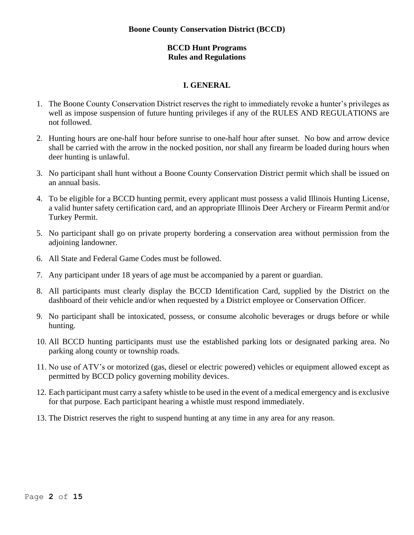## **BCCD Hunt Programs Rules and Regulations**

# **I. GENERAL**

- 1. The Boone County Conservation District reserves the right to immediately revoke a hunter's privileges as well as impose suspension of future hunting privileges if any of the RULES AND REGULATIONS are not followed.
- 2. Hunting hours are one-half hour before sunrise to one-half hour after sunset. No bow and arrow device shall be carried with the arrow in the nocked position, nor shall any firearm be loaded during hours when deer hunting is unlawful.
- 3. No participant shall hunt without a Boone County Conservation District permit which shall be issued on an annual basis.
- 4. To be eligible for a BCCD hunting permit, every applicant must possess a valid Illinois Hunting License, a valid hunter safety certification card, and an appropriate Illinois Deer Archery or Firearm Permit and/or Turkey Permit.
- 5. No participant shall go on private property bordering a conservation area without permission from the adjoining landowner.
- 6. All State and Federal Game Codes must be followed.
- 7. Any participant under 18 years of age must be accompanied by a parent or guardian.
- 8. All participants must clearly display the BCCD Identification Card, supplied by the District on the dashboard of their vehicle and/or when requested by a District employee or Conservation Officer.
- 9. No participant shall be intoxicated, possess, or consume alcoholic beverages or drugs before or while hunting.
- 10. All BCCD hunting participants must use the established parking lots or designated parking area. No parking along county or township roads.
- 11. No use of ATV's or motorized (gas, diesel or electric powered) vehicles or equipment allowed except as permitted by BCCD policy governing mobility devices.
- 12. Each participant must carry a safety whistle to be used in the event of a medical emergency and is exclusive for that purpose. Each participant hearing a whistle must respond immediately.
- 13. The District reserves the right to suspend hunting at any time in any area for any reason.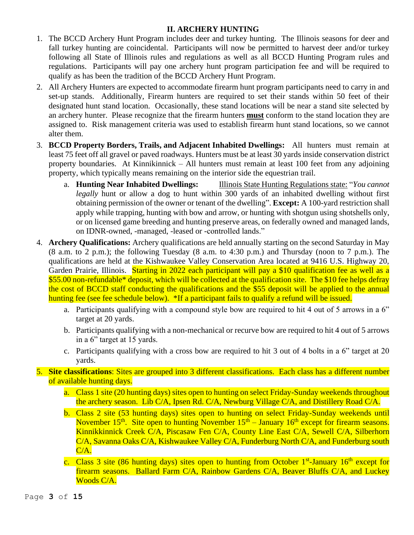# **II. ARCHERY HUNTING**

- 1. The BCCD Archery Hunt Program includes deer and turkey hunting. The Illinois seasons for deer and fall turkey hunting are coincidental. Participants will now be permitted to harvest deer and/or turkey following all State of Illinois rules and regulations as well as all BCCD Hunting Program rules and regulations. Participants will pay one archery hunt program participation fee and will be required to qualify as has been the tradition of the BCCD Archery Hunt Program.
- 2. All Archery Hunters are expected to accommodate firearm hunt program participants need to carry in and set-up stands. Additionally, Firearm hunters are required to set their stands within 50 feet of their designated hunt stand location. Occasionally, these stand locations will be near a stand site selected by an archery hunter. Please recognize that the firearm hunters **must** conform to the stand location they are assigned to. Risk management criteria was used to establish firearm hunt stand locations, so we cannot alter them.
- 3. **BCCD Property Borders, Trails, and Adjacent Inhabited Dwellings:** All hunters must remain at least 75 feet off all gravel or paved roadways. Hunters must be at least 30 yards inside conservation district property boundaries. At Kinnikinnick – All hunters must remain at least 100 feet from any adjoining property, which typically means remaining on the interior side the equestrian trail.
	- a. **Hunting Near Inhabited Dwellings:** Illinois State Hunting Regulations state: "*You cannot legally* hunt or allow a dog to hunt within 300 yards of an inhabited dwelling without first obtaining permission of the owner or tenant of the dwelling". **Except:** A 100-yard restriction shall apply while trapping, hunting with bow and arrow, or hunting with shotgun using shotshells only, or on licensed game breeding and hunting preserve areas, on federally owned and managed lands, on IDNR-owned, -managed, -leased or -controlled lands."
- 4. **Archery Qualifications:** Archery qualifications are held annually starting on the second Saturday in May (8 a.m. to 2 p.m.); the following Tuesday (8 a.m. to 4:30 p.m.) and Thursday (noon to 7 p.m.). The qualifications are held at the Kishwaukee Valley Conservation Area located at 9416 U.S. Highway 20, Garden Prairie, Illinois. Starting in 2022 each participant will pay a \$10 qualification fee as well as a \$55.00 non-refundable\* deposit, which will be collected at the qualification site. The \$10 fee helps defray the cost of BCCD staff conducting the qualifications and the \$55 deposit will be applied to the annual hunting fee (see fee schedule below). \*If a participant fails to qualify a refund will be issued.
	- a. Participants qualifying with a compound style bow are required to hit 4 out of 5 arrows in a 6" target at 20 yards.
	- b. Participants qualifying with a non-mechanical or recurve bow are required to hit 4 out of 5 arrows in a 6" target at 15 yards.
	- c. Participants qualifying with a cross bow are required to hit 3 out of 4 bolts in a 6" target at 20 yards.
- 5. **Site classifications**: Sites are grouped into 3 different classifications. Each class has a different number of available hunting days.
	- a. Class 1 site (20 hunting days) sites open to hunting on select Friday-Sunday weekends throughout the archery season. Lib C/A, Ipsen Rd. C/A, Newburg Village C/A, and Distillery Road C/A.
	- b. Class 2 site (53 hunting days) sites open to hunting on select Friday-Sunday weekends until November  $15<sup>th</sup>$ . Site open to hunting November  $15<sup>th</sup>$  – January  $16<sup>th</sup>$  except for firearm seasons. Kinnikkinnick Creek C/A, Piscasaw Fen C/A, County Line East C/A, Sewell C/A, Silberhorn C/A, Savanna Oaks C/A, Kishwaukee Valley C/A, Funderburg North C/A, and Funderburg south C/A.
	- c. Class 3 site (86 hunting days) sites open to hunting from October 1<sup>st</sup>-January 16<sup>th</sup> except for firearm seasons. Ballard Farm C/A, Rainbow Gardens C/A, Beaver Bluffs C/A, and Luckey Woods C/A.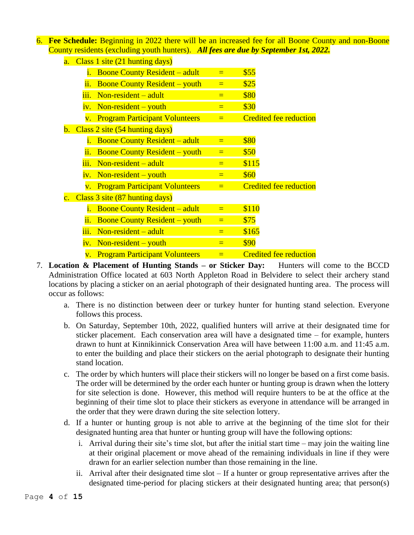6. **Fee Schedule:** Beginning in 2022 there will be an increased fee for all Boone County and non-Boone County residents (excluding youth hunters). *All fees are due by September 1st, 2022.*

| a.               | Class 1 site (21 hunting days) |                                                    |          |                               |  |  |  |  |
|------------------|--------------------------------|----------------------------------------------------|----------|-------------------------------|--|--|--|--|
|                  | 1.                             | <b>Boone County Resident – adult</b>               | $=$      | \$55                          |  |  |  |  |
|                  | ii.                            | <b>Boone County Resident – youth</b>               | $=$      | \$25                          |  |  |  |  |
|                  | iii.                           | Non-resident $-$ adult                             | $=$      | \$80                          |  |  |  |  |
|                  | iv.                            | $Non-resident - youth$                             | $=$      | \$30                          |  |  |  |  |
|                  | $\overline{\mathbf{V}}$ .      | <b>Program Participant Volunteers</b>              | $=$      | <b>Credited fee reduction</b> |  |  |  |  |
|                  |                                | <b>b.</b> Class 2 site $(54 \text{ hunting days})$ |          |                               |  |  |  |  |
|                  | i.                             | <b>Boone County Resident – adult</b>               | $=$      | \$80                          |  |  |  |  |
|                  | ii.                            | <b>Boone County Resident – youth</b>               | $\equiv$ | \$50                          |  |  |  |  |
|                  | iii.                           | $Non-resident - adult$                             | $=$      | \$115                         |  |  |  |  |
|                  | iv.                            | Non-resident – youth                               | $=$      | \$60                          |  |  |  |  |
|                  |                                | v. Program Participant Volunteers                  | $=$      | <b>Credited fee reduction</b> |  |  |  |  |
| $\overline{c}$ . | Class 3 site (87 hunting days) |                                                    |          |                               |  |  |  |  |
|                  | i.                             | <b>Boone County Resident – adult</b>               | $=$      | \$110                         |  |  |  |  |
|                  | ii.                            | <b>Boone County Resident – youth</b>               | $=$      | \$75                          |  |  |  |  |
|                  | iii.                           | Non-resident $-$ adult                             | $=$      | \$165                         |  |  |  |  |
|                  | 1V <sub>1</sub>                | $Non-resident - youth$                             | $\equiv$ | \$90                          |  |  |  |  |
|                  | $\mathbf{V}$ .                 | <b>Program Participant Volunteers</b>              | $\equiv$ | <b>Credited fee reduction</b> |  |  |  |  |

- 7. **Location & Placement of Hunting Stands – or Sticker Day:** Hunters will come to the BCCD Administration Office located at 603 North Appleton Road in Belvidere to select their archery stand locations by placing a sticker on an aerial photograph of their designated hunting area. The process will occur as follows:
	- a. There is no distinction between deer or turkey hunter for hunting stand selection. Everyone follows this process.
	- b. On Saturday, September 10th, 2022, qualified hunters will arrive at their designated time for sticker placement. Each conservation area will have a designated time – for example, hunters drawn to hunt at Kinnikinnick Conservation Area will have between 11:00 a.m. and 11:45 a.m. to enter the building and place their stickers on the aerial photograph to designate their hunting stand location.
	- c. The order by which hunters will place their stickers will no longer be based on a first come basis. The order will be determined by the order each hunter or hunting group is drawn when the lottery for site selection is done. However, this method will require hunters to be at the office at the beginning of their time slot to place their stickers as everyone in attendance will be arranged in the order that they were drawn during the site selection lottery.
	- d. If a hunter or hunting group is not able to arrive at the beginning of the time slot for their designated hunting area that hunter or hunting group will have the following options:
		- i. Arrival during their site's time slot, but after the initial start time may join the waiting line at their original placement or move ahead of the remaining individuals in line if they were drawn for an earlier selection number than those remaining in the line.
		- ii. Arrival after their designated time slot If a hunter or group representative arrives after the designated time-period for placing stickers at their designated hunting area; that person(s)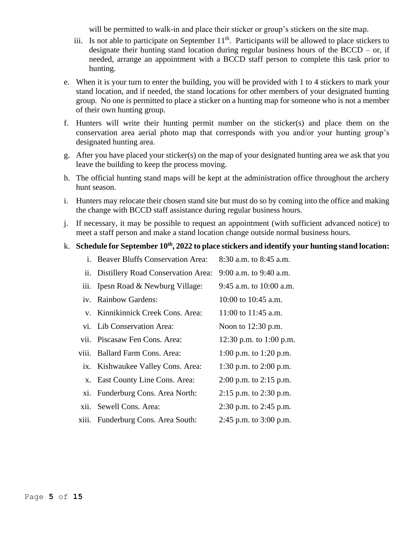will be permitted to walk-in and place their sticker or group's stickers on the site map.

- iii. Is not able to participate on September  $11<sup>th</sup>$ . Participants will be allowed to place stickers to designate their hunting stand location during regular business hours of the  $BCCD - or$ , if needed, arrange an appointment with a BCCD staff person to complete this task prior to hunting.
- e. When it is your turn to enter the building, you will be provided with 1 to 4 stickers to mark your stand location, and if needed, the stand locations for other members of your designated hunting group. No one is permitted to place a sticker on a hunting map for someone who is not a member of their own hunting group.
- f. Hunters will write their hunting permit number on the sticker(s) and place them on the conservation area aerial photo map that corresponds with you and/or your hunting group's designated hunting area.
- g. After you have placed your sticker(s) on the map of your designated hunting area we ask that you leave the building to keep the process moving.
- h. The official hunting stand maps will be kept at the administration office throughout the archery hunt season.
- i. Hunters may relocate their chosen stand site but must do so by coming into the office and making the change with BCCD staff assistance during regular business hours.
- j. If necessary, it may be possible to request an appointment (with sufficient advanced notice) to meet a staff person and make a stand location change outside normal business hours.

#### k. **Schedule for September 10 th, 2022 to place stickers and identify your hunting stand location:**

| i. Beaver Bluffs Conservation Area:    | 8:30 a.m. to 8:45 a.m.     |
|----------------------------------------|----------------------------|
| ii. Distillery Road Conservation Area: | 9:00 a.m. to 9:40 a.m.     |
| iii. Ipesn Road & Newburg Village:     | 9:45 a.m. to $10:00$ a.m.  |
| iv. Rainbow Gardens:                   | 10:00 to 10:45 a.m.        |
| v. Kinnikinnick Creek Cons. Area:      | 11:00 to 11:45 a.m.        |
| vi. Lib Conservation Area:             | Noon to $12:30$ p.m.       |
| vii. Piscasaw Fen Cons. Area:          | 12:30 p.m. to 1:00 p.m.    |
| viii. Ballard Farm Cons. Area:         | 1:00 p.m. to 1:20 p.m.     |
| ix. Kishwaukee Valley Cons. Area:      | 1:30 p.m. to $2:00$ p.m.   |
| x. East County Line Cons. Area:        | $2:00$ p.m. to $2:15$ p.m. |
| xi. Funderburg Cons. Area North:       | $2:15$ p.m. to $2:30$ p.m. |
| xii. Sewell Cons. Area:                | $2:30$ p.m. to $2:45$ p.m. |
| xiii. Funderburg Cons. Area South:     | 2:45 p.m. to $3:00$ p.m.   |
|                                        |                            |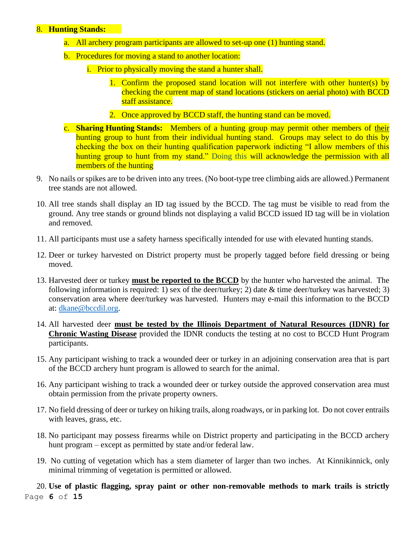### 8. **Hunting Stands:**

- a. All archery program participants are allowed to set-up one (1) hunting stand.
- b. Procedures for moving a stand to another location:
	- i. Prior to physically moving the stand a hunter shall.
		- 1. Confirm the proposed stand location will not interfere with other hunter(s) by checking the current map of stand locations (stickers on aerial photo) with BCCD staff assistance.
		- 2. Once approved by BCCD staff, the hunting stand can be moved.
- c. **Sharing Hunting Stands:** Members of a hunting group may permit other members of their hunting group to hunt from their individual hunting stand. Groups may select to do this by checking the box on their hunting qualification paperwork indicting "I allow members of this hunting group to hunt from my stand." Doing this will acknowledge the permission with all members of the hunting
- 9. No nails or spikes are to be driven into any trees. (No boot-type tree climbing aids are allowed.) Permanent tree stands are not allowed.
- 10. All tree stands shall display an ID tag issued by the BCCD. The tag must be visible to read from the ground. Any tree stands or ground blinds not displaying a valid BCCD issued ID tag will be in violation and removed.
- 11. All participants must use a safety harness specifically intended for use with elevated hunting stands.
- 12. Deer or turkey harvested on District property must be properly tagged before field dressing or being moved.
- 13. Harvested deer or turkey **must be reported to the BCCD** by the hunter who harvested the animal. The following information is required: 1) sex of the deer/turkey; 2) date  $&$  time deer/turkey was harvested; 3) conservation area where deer/turkey was harvested. Hunters may e-mail this information to the BCCD at: [dkane@bccdil.org.](mailto:dkane@bccdil.org)
- 14. All harvested deer **must be tested by the Illinois Department of Natural Resources (IDNR) for Chronic Wasting Disease** provided the IDNR conducts the testing at no cost to BCCD Hunt Program participants.
- 15. Any participant wishing to track a wounded deer or turkey in an adjoining conservation area that is part of the BCCD archery hunt program is allowed to search for the animal.
- 16. Any participant wishing to track a wounded deer or turkey outside the approved conservation area must obtain permission from the private property owners.
- 17. No field dressing of deer or turkey on hiking trails, along roadways, or in parking lot. Do not cover entrails with leaves, grass, etc.
- 18. No participant may possess firearms while on District property and participating in the BCCD archery hunt program – except as permitted by state and/or federal law.
- 19. No cutting of vegetation which has a stem diameter of larger than two inches. At Kinnikinnick, only minimal trimming of vegetation is permitted or allowed.

Page **6** of **15** 20. **Use of plastic flagging, spray paint or other non-removable methods to mark trails is strictly**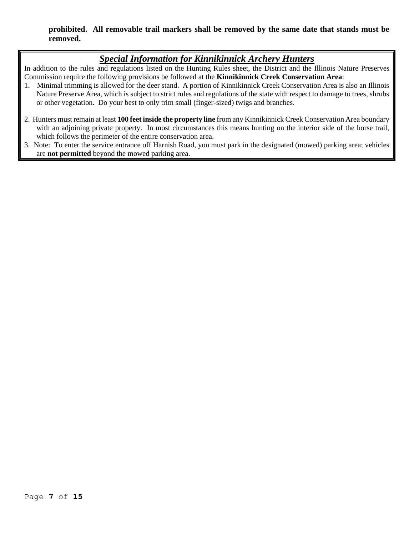### **prohibited. All removable trail markers shall be removed by the same date that stands must be removed.**

# *Special Information for Kinnikinnick Archery Hunters*

In addition to the rules and regulations listed on the Hunting Rules sheet, the District and the Illinois Nature Preserves Commission require the following provisions be followed at the **Kinnikinnick Creek Conservation Area**:

- 1. Minimal trimming is allowed for the deer stand. A portion of Kinnikinnick Creek Conservation Area is also an Illinois Nature Preserve Area, which is subject to strict rules and regulations of the state with respect to damage to trees, shrubs or other vegetation. Do your best to only trim small (finger-sized) twigs and branches.
- 2. Hunters must remain at least **100 feet inside the property line** from any Kinnikinnick Creek Conservation Area boundary with an adjoining private property. In most circumstances this means hunting on the interior side of the horse trail, which follows the perimeter of the entire conservation area.
- 3. Note: To enter the service entrance off Harnish Road, you must park in the designated (mowed) parking area; vehicles are **not permitted** beyond the mowed parking area.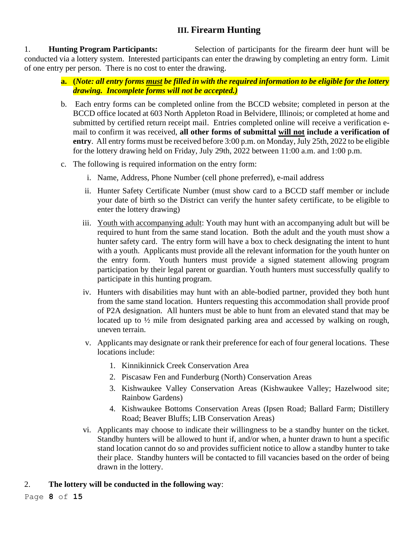# **III. Firearm Hunting**

1. **Hunting Program Participants:** Selection of participants for the firearm deer hunt will be conducted via a lottery system. Interested participants can enter the drawing by completing an entry form. Limit of one entry per person. There is no cost to enter the drawing.

- **a. (***Note: all entry forms must be filled in with the required information to be eligible for the lottery drawing. Incomplete forms will not be accepted.)*
- b. Each entry forms can be completed online from the BCCD website; completed in person at the BCCD office located at 603 North Appleton Road in Belvidere, Illinois; or completed at home and submitted by certified return receipt mail. Entries completed online will receive a verification email to confirm it was received, **all other forms of submittal will not include a verification of entry**. All entry forms must be received before 3:00 p.m. on Monday, July 25th, 2022 to be eligible for the lottery drawing held on Friday, July 29th, 2022 between 11:00 a.m. and 1:00 p.m.
- c. The following is required information on the entry form:
	- i. Name, Address, Phone Number (cell phone preferred), e-mail address
	- ii. Hunter Safety Certificate Number (must show card to a BCCD staff member or include your date of birth so the District can verify the hunter safety certificate, to be eligible to enter the lottery drawing)
	- iii. Youth with accompanying adult: Youth may hunt with an accompanying adult but will be required to hunt from the same stand location. Both the adult and the youth must show a hunter safety card. The entry form will have a box to check designating the intent to hunt with a youth. Applicants must provide all the relevant information for the youth hunter on the entry form. Youth hunters must provide a signed statement allowing program participation by their legal parent or guardian. Youth hunters must successfully qualify to participate in this hunting program.
	- iv. Hunters with disabilities may hunt with an able-bodied partner, provided they both hunt from the same stand location. Hunters requesting this accommodation shall provide proof of P2A designation. All hunters must be able to hunt from an elevated stand that may be located up to ½ mile from designated parking area and accessed by walking on rough, uneven terrain.
	- v. Applicants may designate or rank their preference for each of four general locations. These locations include:
		- 1. Kinnikinnick Creek Conservation Area
		- 2. Piscasaw Fen and Funderburg (North) Conservation Areas
		- 3. Kishwaukee Valley Conservation Areas (Kishwaukee Valley; Hazelwood site; Rainbow Gardens)
		- 4. Kishwaukee Bottoms Conservation Areas (Ipsen Road; Ballard Farm; Distillery Road; Beaver Bluffs; LIB Conservation Areas)
	- vi. Applicants may choose to indicate their willingness to be a standby hunter on the ticket. Standby hunters will be allowed to hunt if, and/or when, a hunter drawn to hunt a specific stand location cannot do so and provides sufficient notice to allow a standby hunter to take their place. Standby hunters will be contacted to fill vacancies based on the order of being drawn in the lottery.

# 2. **The lottery will be conducted in the following way**: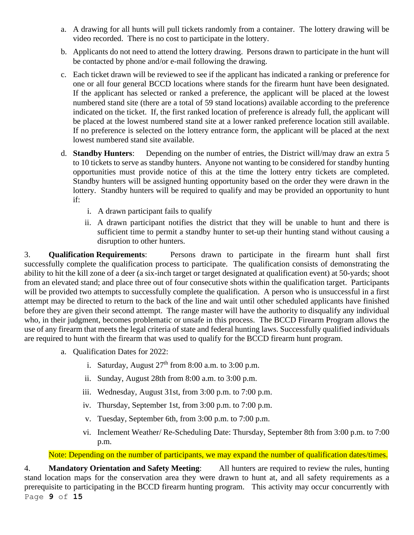- a. A drawing for all hunts will pull tickets randomly from a container. The lottery drawing will be video recorded. There is no cost to participate in the lottery.
- b. Applicants do not need to attend the lottery drawing. Persons drawn to participate in the hunt will be contacted by phone and/or e-mail following the drawing.
- c. Each ticket drawn will be reviewed to see if the applicant has indicated a ranking or preference for one or all four general BCCD locations where stands for the firearm hunt have been designated. If the applicant has selected or ranked a preference, the applicant will be placed at the lowest numbered stand site (there are a total of 59 stand locations) available according to the preference indicated on the ticket. If, the first ranked location of preference is already full, the applicant will be placed at the lowest numbered stand site at a lower ranked preference location still available. If no preference is selected on the lottery entrance form, the applicant will be placed at the next lowest numbered stand site available.
- d. **Standby Hunters**: Depending on the number of entries, the District will/may draw an extra 5 to 10 tickets to serve as standby hunters. Anyone not wanting to be considered for standby hunting opportunities must provide notice of this at the time the lottery entry tickets are completed. Standby hunters will be assigned hunting opportunity based on the order they were drawn in the lottery. Standby hunters will be required to qualify and may be provided an opportunity to hunt if:
	- i. A drawn participant fails to qualify
	- ii. A drawn participant notifies the district that they will be unable to hunt and there is sufficient time to permit a standby hunter to set-up their hunting stand without causing a disruption to other hunters.

3. **Qualification Requirements**: Persons drawn to participate in the firearm hunt shall first successfully complete the qualification process to participate. The qualification consists of demonstrating the ability to hit the kill zone of a deer (a six-inch target or target designated at qualification event) at 50-yards; shoot from an elevated stand; and place three out of four consecutive shots within the qualification target. Participants will be provided two attempts to successfully complete the qualification. A person who is unsuccessful in a first attempt may be directed to return to the back of the line and wait until other scheduled applicants have finished before they are given their second attempt. The range master will have the authority to disqualify any individual who, in their judgment, becomes problematic or unsafe in this process. The BCCD Firearm Program allows the use of any firearm that meets the legal criteria of state and federal hunting laws. Successfully qualified individuals are required to hunt with the firearm that was used to qualify for the BCCD firearm hunt program.

- a. Qualification Dates for 2022:
	- i. Saturday, August  $27<sup>th</sup>$  from 8:00 a.m. to 3:00 p.m.
	- ii. Sunday, August 28th from 8:00 a.m. to 3:00 p.m.
	- iii. Wednesday, August 31st, from 3:00 p.m. to 7:00 p.m.
	- iv. Thursday, September 1st, from 3:00 p.m. to 7:00 p.m.
	- v. Tuesday, September 6th, from 3:00 p.m. to 7:00 p.m.
	- vi. Inclement Weather/ Re-Scheduling Date: Thursday, September 8th from 3:00 p.m. to 7:00 p.m.

Note: Depending on the number of participants, we may expand the number of qualification dates/times.

Page **9** of **15** 4. **Mandatory Orientation and Safety Meeting**: All hunters are required to review the rules, hunting stand location maps for the conservation area they were drawn to hunt at, and all safety requirements as a prerequisite to participating in the BCCD firearm hunting program. This activity may occur concurrently with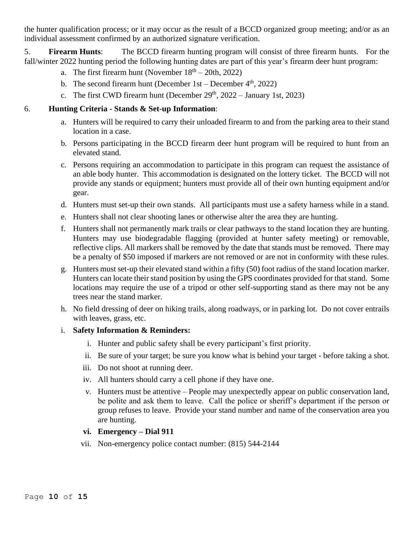the hunter qualification process; or it may occur as the result of a BCCD organized group meeting; and/or as an individual assessment confirmed by an authorized signature verification.

5. **Firearm Hunts**: The BCCD firearm hunting program will consist of three firearm hunts. For the fall/winter 2022 hunting period the following hunting dates are part of this year's firearm deer hunt program:

- a. The first firearm hunt (November  $18<sup>th</sup> 20th$ , 2022)
- b. The second firearm hunt (December  $1st December 4<sup>th</sup>, 2022$ )
- c. The first CWD firearm hunt (December  $29<sup>th</sup>$ ,  $2022 January 1st$ ,  $2023$ )

# 6. **Hunting Criteria - Stands & Set-up Information**:

- a. Hunters will be required to carry their unloaded firearm to and from the parking area to their stand location in a case.
- b. Persons participating in the BCCD firearm deer hunt program will be required to hunt from an elevated stand.
- c. Persons requiring an accommodation to participate in this program can request the assistance of an able body hunter. This accommodation is designated on the lottery ticket. The BCCD will not provide any stands or equipment; hunters must provide all of their own hunting equipment and/or gear.
- d. Hunters must set-up their own stands. All participants must use a safety harness while in a stand.
- e. Hunters shall not clear shooting lanes or otherwise alter the area they are hunting.
- f. Hunters shall not permanently mark trails or clear pathways to the stand location they are hunting. Hunters may use biodegradable flagging (provided at hunter safety meeting) or removable, reflective clips. All markers shall be removed by the date that stands must be removed. There may be a penalty of \$50 imposed if markers are not removed or are not in conformity with these rules.
- g. Hunters must set-up their elevated stand within a fifty (50) foot radius of the stand location marker. Hunters can locate their stand position by using the GPS coordinates provided for that stand. Some locations may require the use of a tripod or other self-supporting stand as there may not be any trees near the stand marker.
- h. No field dressing of deer on hiking trails, along roadways, or in parking lot. Do not cover entrails with leaves, grass, etc.

### i. **Safety Information & Reminders:**

- i. Hunter and public safety shall be every participant's first priority.
- ii. Be sure of your target; be sure you know what is behind your target before taking a shot.
- iii. Do not shoot at running deer.
- iv. All hunters should carry a cell phone if they have one.
- v. Hunters must be attentive People may unexpectedly appear on public conservation land, be polite and ask them to leave. Call the police or sheriff's department if the person or group refuses to leave. Provide your stand number and name of the conservation area you are hunting.

### **vi. Emergency – Dial 911**

vii. Non-emergency police contact number: (815) 544-2144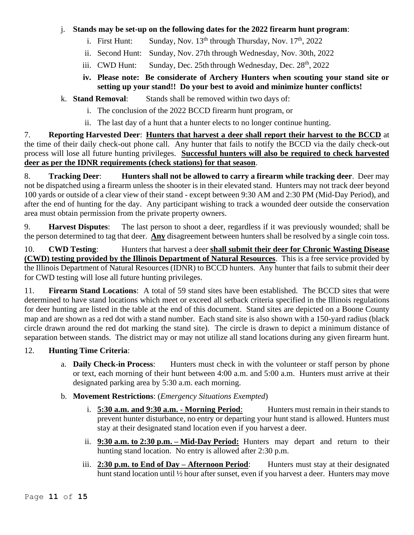# j. **Stands may be set-up on the following dates for the 2022 firearm hunt program**:

- i. First Hunt: Sunday, Nov.  $13<sup>th</sup>$  through Thursday, Nov.  $17<sup>th</sup>$ , 2022
- ii. Second Hunt: Sunday, Nov. 27th through Wednesday, Nov. 30th, 2022
- iii. CWD Hunt: Sunday, Dec. 25th through Wednesday, Dec. 28<sup>th</sup>, 2022

# **iv. Please note: Be considerate of Archery Hunters when scouting your stand site or setting up your stand!! Do your best to avoid and minimize hunter conflicts!**

k. **Stand Removal**: Stands shall be removed within two days of:

- i. The conclusion of the 2022 BCCD firearm hunt program, or
- ii. The last day of a hunt that a hunter elects to no longer continue hunting.

7. **Reporting Harvested Deer**: **Hunters that harvest a deer shall report their harvest to the BCCD** at the time of their daily check-out phone call. Any hunter that fails to notify the BCCD via the daily check-out process will lose all future hunting privileges. **Successful hunters will also be required to check harvested deer as per the IDNR requirements (check stations) for that season**.

8. **Tracking Deer**: **Hunters shall not be allowed to carry a firearm while tracking deer**. Deer may not be dispatched using a firearm unless the shooter is in their elevated stand. Hunters may not track deer beyond 100 yards or outside of a clear view of their stand - except between 9:30 AM and 2:30 PM (Mid-Day Period), and after the end of hunting for the day. Any participant wishing to track a wounded deer outside the conservation area must obtain permission from the private property owners.

9. **Harvest Disputes**: The last person to shoot a deer, regardless if it was previously wounded; shall be the person determined to tag that deer. **Any** disagreement between hunters shall be resolved by a single coin toss.

10. **CWD Testing**: Hunters that harvest a deer **shall submit their deer for Chronic Wasting Disease (CWD) testing provided by the Illinois Department of Natural Resources**. This is a free service provided by the Illinois Department of Natural Resources (IDNR) to BCCD hunters. Any hunter that fails to submit their deer for CWD testing will lose all future hunting privileges.

11. **Firearm Stand Locations**: A total of 59 stand sites have been established. The BCCD sites that were determined to have stand locations which meet or exceed all setback criteria specified in the Illinois regulations for deer hunting are listed in the table at the end of this document. Stand sites are depicted on a Boone County map and are shown as a red dot with a stand number. Each stand site is also shown with a 150-yard radius (black circle drawn around the red dot marking the stand site). The circle is drawn to depict a minimum distance of separation between stands. The district may or may not utilize all stand locations during any given firearm hunt.

# 12. **Hunting Time Criteria**:

- a. **Daily Check-in Process:** Hunters must check in with the volunteer or staff person by phone or text, each morning of their hunt between 4:00 a.m. and 5:00 a.m. Hunters must arrive at their designated parking area by 5:30 a.m. each morning.
- b. **Movement Restrictions**: (*Emergency Situations Exempted*)
	- i. **5:30 a.m. and 9:30 a.m. - Morning Period**: Hunters must remain in their stands to prevent hunter disturbance, no entry or departing your hunt stand is allowed. Hunters must stay at their designated stand location even if you harvest a deer.
	- ii. **9:30 a.m. to 2:30 p.m. – Mid-Day Period:** Hunters may depart and return to their hunting stand location. No entry is allowed after 2:30 p.m.
	- iii. **2:30 p.m. to End of Day Afternoon Period:** Hunters must stay at their designated hunt stand location until <sup>1</sup>/<sub>2</sub> hour after sunset, even if you harvest a deer. Hunters may move

Page **11** of **15**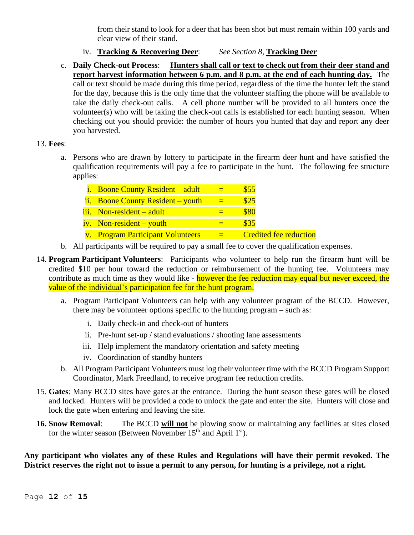from their stand to look for a deer that has been shot but must remain within 100 yards and clear view of their stand.

- iv. **Tracking & Recovering Deer**: *See Section 8,* **Tracking Deer**
- c. **Daily Check-out Process**: **Hunters shall call or text to check out from their deer stand and report harvest information between 6 p.m. and 8 p.m. at the end of each hunting day.** The call or text should be made during this time period, regardless of the time the hunter left the stand for the day, because this is the only time that the volunteer staffing the phone will be available to take the daily check-out calls. A cell phone number will be provided to all hunters once the volunteer(s) who will be taking the check-out calls is established for each hunting season. When checking out you should provide: the number of hours you hunted that day and report any deer you harvested.

# 13. **Fees**:

a. Persons who are drawn by lottery to participate in the firearm deer hunt and have satisfied the qualification requirements will pay a fee to participate in the hunt. The following fee structure applies:

| <i>i.</i> Boone County Resident – adult | \$55                          |
|-----------------------------------------|-------------------------------|
| ii. Boone County Resident – youth       | \$25                          |
| iii. Non-resident – adult               | 880                           |
| $iv.$ Non-resident – youth              | \$35                          |
| v. Program Participant Volunteers       | <b>Credited fee reduction</b> |

- b. All participants will be required to pay a small fee to cover the qualification expenses.
- 14. **Program Participant Volunteers**: Participants who volunteer to help run the firearm hunt will be credited \$10 per hour toward the reduction or reimbursement of the hunting fee. Volunteers may contribute as much time as they would like - however the fee reduction may equal but never exceed, the value of the individual's participation fee for the hunt program.
	- a. Program Participant Volunteers can help with any volunteer program of the BCCD. However, there may be volunteer options specific to the hunting program – such as:
		- i. Daily check-in and check-out of hunters
		- ii. Pre-hunt set-up / stand evaluations / shooting lane assessments
		- iii. Help implement the mandatory orientation and safety meeting
		- iv. Coordination of standby hunters
	- b. All Program Participant Volunteers must log their volunteer time with the BCCD Program Support Coordinator, Mark Freedland, to receive program fee reduction credits.
- 15. **Gates**: Many BCCD sites have gates at the entrance. During the hunt season these gates will be closed and locked. Hunters will be provided a code to unlock the gate and enter the site. Hunters will close and lock the gate when entering and leaving the site.
- **16. Snow Removal**: The BCCD **will not** be plowing snow or maintaining any facilities at sites closed for the winter season (Between November  $15<sup>th</sup>$  and April  $1<sup>st</sup>$ ).

**Any participant who violates any of these Rules and Regulations will have their permit revoked. The District reserves the right not to issue a permit to any person, for hunting is a privilege, not a right.**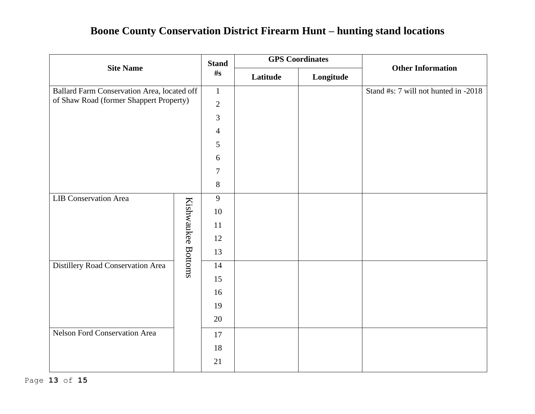# **Boone County Conservation District Firearm Hunt – hunting stand locations**

| <b>Site Name</b>                                        |              | <b>Stand</b><br>$\#_{S}$ | <b>GPS</b> Coordinates |                                      |                          |
|---------------------------------------------------------|--------------|--------------------------|------------------------|--------------------------------------|--------------------------|
|                                                         |              |                          | Latitude               | Longitude                            | <b>Other Information</b> |
| Ballard Farm Conservation Area, located off             | $\mathbf{1}$ |                          |                        | Stand #s: 7 will not hunted in -2018 |                          |
| of Shaw Road (former Shappert Property)                 |              | $\mathbf{2}$             |                        |                                      |                          |
|                                                         |              | 3                        |                        |                                      |                          |
|                                                         |              | $\overline{4}$           |                        |                                      |                          |
|                                                         |              | 5                        |                        |                                      |                          |
|                                                         |              | 6                        |                        |                                      |                          |
|                                                         |              | $\tau$                   |                        |                                      |                          |
|                                                         |              | 8                        |                        |                                      |                          |
| <b>LIB Conservation Area</b>                            |              | 9                        |                        |                                      |                          |
|                                                         |              | 10                       |                        |                                      |                          |
|                                                         |              | 11                       |                        |                                      |                          |
|                                                         |              | 12                       |                        |                                      |                          |
|                                                         |              | 13                       |                        |                                      |                          |
| Kishwaukee Bottoms<br>Distillery Road Conservation Area |              | 14                       |                        |                                      |                          |
|                                                         |              | 15                       |                        |                                      |                          |
|                                                         |              | 16                       |                        |                                      |                          |
|                                                         |              | 19                       |                        |                                      |                          |
|                                                         |              | 20                       |                        |                                      |                          |
| Nelson Ford Conservation Area                           |              | 17                       |                        |                                      |                          |
|                                                         |              | 18                       |                        |                                      |                          |
|                                                         |              | 21                       |                        |                                      |                          |
|                                                         |              |                          |                        |                                      |                          |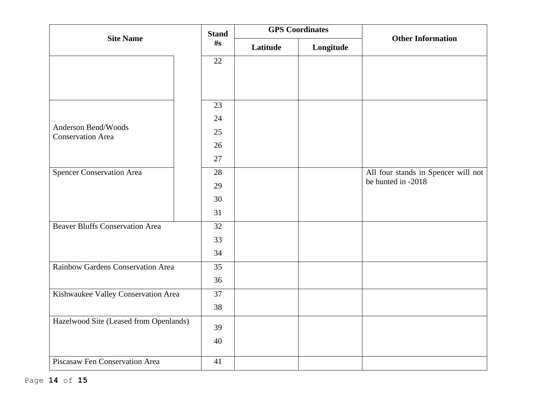| <b>Site Name</b>                                | <b>Stand</b> | <b>GPS</b> Coordinates |           | <b>Other Information</b>            |
|-------------------------------------------------|--------------|------------------------|-----------|-------------------------------------|
|                                                 | $\#s$        | Latitude               | Longitude |                                     |
|                                                 | 22           |                        |           |                                     |
|                                                 |              |                        |           |                                     |
|                                                 |              |                        |           |                                     |
|                                                 | 23           |                        |           |                                     |
|                                                 | 24           |                        |           |                                     |
| Anderson Bend/Woods<br><b>Conservation Area</b> | 25           |                        |           |                                     |
|                                                 | 26           |                        |           |                                     |
|                                                 | 27           |                        |           |                                     |
| <b>Spencer Conservation Area</b>                | 28           |                        |           | All four stands in Spencer will not |
|                                                 | 29           |                        |           | be hunted in -2018                  |
|                                                 | 30           |                        |           |                                     |
|                                                 | 31           |                        |           |                                     |
| <b>Beaver Bluffs Conservation Area</b>          | 32           |                        |           |                                     |
|                                                 | 33           |                        |           |                                     |
|                                                 | 34           |                        |           |                                     |
| Rainbow Gardens Conservation Area               | 35           |                        |           |                                     |
|                                                 | 36           |                        |           |                                     |
| Kishwaukee Valley Conservation Area             | 37           |                        |           |                                     |
|                                                 | 38           |                        |           |                                     |
| Hazelwood Site (Leased from Openlands)          | 39           |                        |           |                                     |
|                                                 | 40           |                        |           |                                     |
|                                                 |              |                        |           |                                     |
| Piscasaw Fen Conservation Area                  | 41           |                        |           |                                     |